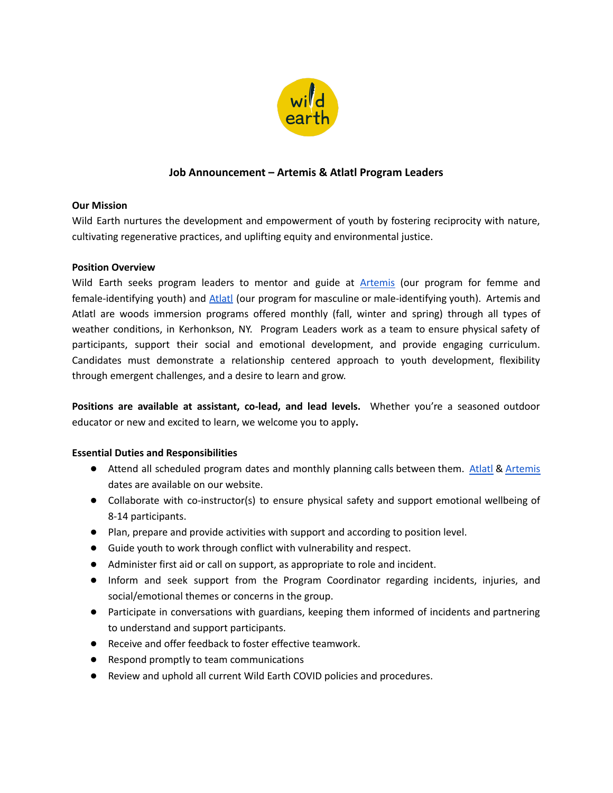

# **Job Announcement – Artemis & Atlatl Program Leaders**

## **Our Mission**

Wild Earth nurtures the development and empowerment of youth by fostering reciprocity with nature, cultivating regenerative practices, and uplifting equity and environmental justice.

## **Position Overview**

Wild Earth seeks program leaders to mentor and guide at [Artemis](https://wildearth.org/youth/artemis) (our program for femme and female-identifying youth) and [Atlatl](https://wildearth.org/youth/atlatl) (our program for masculine or male-identifying youth). Artemis and Atlatl are woods immersion programs offered monthly (fall, winter and spring) through all types of weather conditions, in Kerhonkson, NY. Program Leaders work as a team to ensure physical safety of participants, support their social and emotional development, and provide engaging curriculum. Candidates must demonstrate a relationship centered approach to youth development, flexibility through emergent challenges, and a desire to learn and grow.

**Positions are available at assistant, co-lead, and lead levels.** Whether you're a seasoned outdoor educator or new and excited to learn, we welcome you to apply**.**

### **Essential Duties and Responsibilities**

- Attend all scheduled program dates and monthly planning calls between them. [Atlatl](https://wildearth.org/youth/atlatl) & [Artemis](https://wildearth.org/youth/artemis) dates are available on our website.
- Collaborate with co-instructor(s) to ensure physical safety and support emotional wellbeing of 8-14 participants.
- Plan, prepare and provide activities with support and according to position level.
- Guide youth to work through conflict with vulnerability and respect.
- Administer first aid or call on support, as appropriate to role and incident.
- Inform and seek support from the Program Coordinator regarding incidents, injuries, and social/emotional themes or concerns in the group.
- Participate in conversations with guardians, keeping them informed of incidents and partnering to understand and support participants.
- Receive and offer feedback to foster effective teamwork.
- Respond promptly to team communications
- Review and uphold all current Wild Earth COVID policies and procedures.